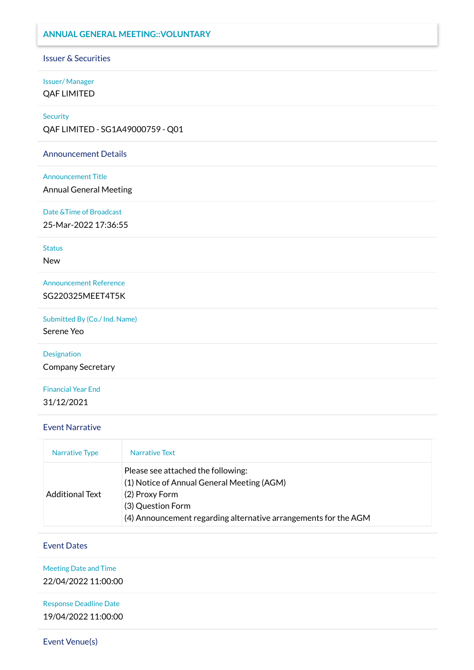### **ANNUAL GENERAL MEETING::VOLUNTARY**

#### Issuer & Securities

### Issuer/ Manager QAF LIMITED

#### **Security**

QAF LIMITED - SG1A49000759 - Q01

#### Announcement Details

#### Announcement Title

Annual General Meeting

#### Date &Time of Broadcast

25-Mar-2022 17:36:55

#### **Status**

New

## Announcement Reference SG220325MEET4T5K

Submitted By (Co./ Ind. Name)

Serene Yeo

# Designation

Company Secretary

## Financial Year End 31/12/2021

#### Event Narrative

| Narrative Type         | Narrative Text                                                                                                                                                                             |
|------------------------|--------------------------------------------------------------------------------------------------------------------------------------------------------------------------------------------|
| <b>Additional Text</b> | Please see attached the following:<br>(1) Notice of Annual General Meeting (AGM)<br>(2) Proxy Form<br>(3) Question Form<br>(4) Announcement regarding alternative arrangements for the AGM |

### Event Dates

Meeting Date and Time 22/04/2022 11:00:00

Response Deadline Date 19/04/2022 11:00:00

Event Venue(s)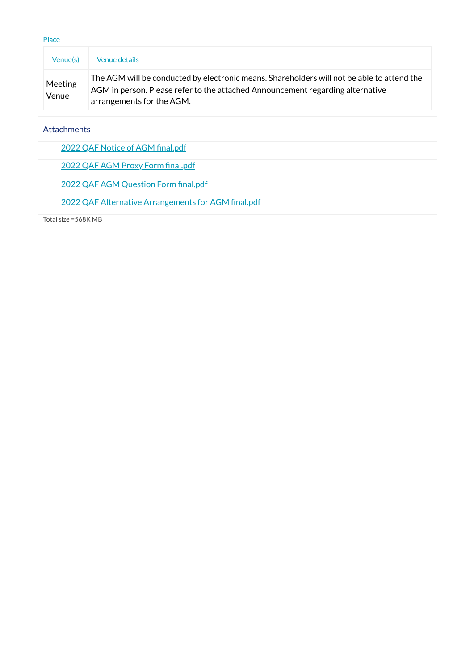| Place                   |                                                                                                                                                                                                           |
|-------------------------|-----------------------------------------------------------------------------------------------------------------------------------------------------------------------------------------------------------|
| Venue(s)                | <b>Venue details</b>                                                                                                                                                                                      |
| <b>Meeting</b><br>Venue | The AGM will be conducted by electronic means. Shareholders will not be able to attend the<br>AGM in person. Please refer to the attached Announcement regarding alternative<br>arrangements for the AGM. |

**Attachments** 

2022 QAF Notice of AGM [final.pdf](https://links.sgx.com/1.0.0/corporate-announcements/9CQ2T0UQK5CS6U0F/708382_2022%20QAF%20Notice%20of%20AGM%20final.pdf)

2022 QAF AGM Proxy Form [final.pdf](https://links.sgx.com/1.0.0/corporate-announcements/9CQ2T0UQK5CS6U0F/708383_2022%20QAF%20AGM%20Proxy%20Form%20final.pdf)

2022 QAF AGM [Question](https://links.sgx.com/1.0.0/corporate-announcements/9CQ2T0UQK5CS6U0F/708384_2022%20QAF%20AGM%20Question%20Form%20final.pdf) Form final.pdf

2022 QAF Alternative [Arrangements](https://links.sgx.com/1.0.0/corporate-announcements/9CQ2T0UQK5CS6U0F/708385_2022%20QAF%20Alternative%20Arrangements%20for%20AGM%20final.pdf) for AGM final.pdf

Total size =568K MB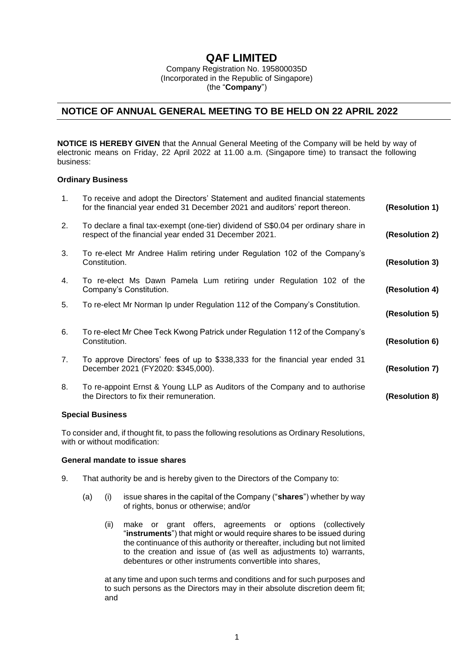# **QAF LIMITED**

Company Registration No. 195800035D (Incorporated in the Republic of Singapore) (the "**Company**")

# **NOTICE OF ANNUAL GENERAL MEETING TO BE HELD ON 22 APRIL 2022**

**NOTICE IS HEREBY GIVEN** that the Annual General Meeting of the Company will be held by way of electronic means on Friday, 22 April 2022 at 11.00 a.m. (Singapore time) to transact the following business:

#### **Ordinary Business**

| 1. | To receive and adopt the Directors' Statement and audited financial statements<br>for the financial year ended 31 December 2021 and auditors' report thereon. | (Resolution 1) |
|----|---------------------------------------------------------------------------------------------------------------------------------------------------------------|----------------|
| 2. | To declare a final tax-exempt (one-tier) dividend of S\$0.04 per ordinary share in<br>respect of the financial year ended 31 December 2021.                   | (Resolution 2) |
| 3. | To re-elect Mr Andree Halim retiring under Regulation 102 of the Company's<br>Constitution.                                                                   | (Resolution 3) |
| 4. | To re-elect Ms Dawn Pamela Lum retiring under Regulation 102 of the<br>Company's Constitution.                                                                | (Resolution 4) |
| 5. | To re-elect Mr Norman Ip under Regulation 112 of the Company's Constitution.                                                                                  | (Resolution 5) |
| 6. | To re-elect Mr Chee Teck Kwong Patrick under Regulation 112 of the Company's<br>Constitution.                                                                 | (Resolution 6) |
| 7. | To approve Directors' fees of up to \$338,333 for the financial year ended 31<br>December 2021 (FY2020: \$345,000).                                           | (Resolution 7) |
| 8. | To re-appoint Ernst & Young LLP as Auditors of the Company and to authorise<br>the Directors to fix their remuneration.                                       | (Resolution 8) |
|    | <b>Special Business</b>                                                                                                                                       |                |

To consider and, if thought fit, to pass the following resolutions as Ordinary Resolutions, with or without modification:

#### **General mandate to issue shares**

- 9. That authority be and is hereby given to the Directors of the Company to:
	- (a) (i) issue shares in the capital of the Company ("**shares**") whether by way of rights, bonus or otherwise; and/or
		- (ii) make or grant offers, agreements or options (collectively "**instruments**") that might or would require shares to be issued during the continuance of this authority or thereafter, including but not limited to the creation and issue of (as well as adjustments to) warrants, debentures or other instruments convertible into shares,

at any time and upon such terms and conditions and for such purposes and to such persons as the Directors may in their absolute discretion deem fit; and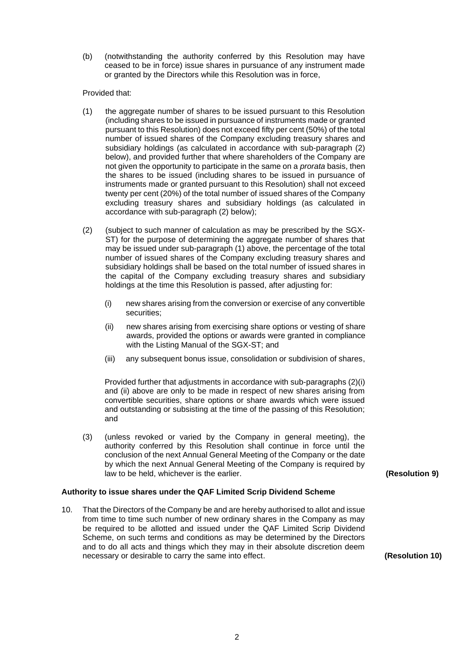(b) (notwithstanding the authority conferred by this Resolution may have ceased to be in force) issue shares in pursuance of any instrument made or granted by the Directors while this Resolution was in force,

### Provided that:

- (1) the aggregate number of shares to be issued pursuant to this Resolution (including shares to be issued in pursuance of instruments made or granted pursuant to this Resolution) does not exceed fifty per cent (50%) of the total number of issued shares of the Company excluding treasury shares and subsidiary holdings (as calculated in accordance with sub-paragraph (2) below), and provided further that where shareholders of the Company are not given the opportunity to participate in the same on a *prorata* basis, then the shares to be issued (including shares to be issued in pursuance of instruments made or granted pursuant to this Resolution) shall not exceed twenty per cent (20%) of the total number of issued shares of the Company excluding treasury shares and subsidiary holdings (as calculated in accordance with sub-paragraph (2) below);
- (2) (subject to such manner of calculation as may be prescribed by the SGX-ST) for the purpose of determining the aggregate number of shares that may be issued under sub-paragraph (1) above, the percentage of the total number of issued shares of the Company excluding treasury shares and subsidiary holdings shall be based on the total number of issued shares in the capital of the Company excluding treasury shares and subsidiary holdings at the time this Resolution is passed, after adjusting for:
	- (i) new shares arising from the conversion or exercise of any convertible securities;
	- (ii) new shares arising from exercising share options or vesting of share awards, provided the options or awards were granted in compliance with the Listing Manual of the SGX-ST; and
	- (iii) any subsequent bonus issue, consolidation or subdivision of shares,

Provided further that adjustments in accordance with sub-paragraphs (2)(i) and (ii) above are only to be made in respect of new shares arising from convertible securities, share options or share awards which were issued and outstanding or subsisting at the time of the passing of this Resolution; and

(3) (unless revoked or varied by the Company in general meeting), the authority conferred by this Resolution shall continue in force until the conclusion of the next Annual General Meeting of the Company or the date by which the next Annual General Meeting of the Company is required by law to be held, whichever is the earlier. **(Resolution 9)**

# **Authority to issue shares under the QAF Limited Scrip Dividend Scheme**

10. That the Directors of the Company be and are hereby authorised to allot and issue from time to time such number of new ordinary shares in the Company as may be required to be allotted and issued under the QAF Limited Scrip Dividend Scheme, on such terms and conditions as may be determined by the Directors and to do all acts and things which they may in their absolute discretion deem necessary or desirable to carry the same into effect. **(Resolution 10)**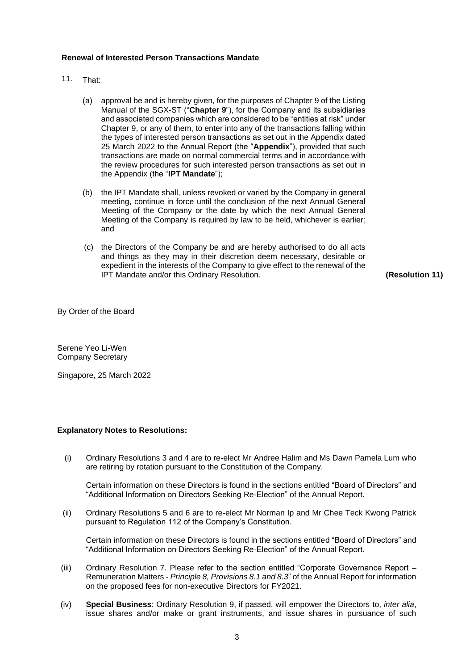#### **Renewal of Interested Person Transactions Mandate**

- 11. That:
	- (a) approval be and is hereby given, for the purposes of Chapter 9 of the Listing Manual of the SGX-ST ("**Chapter 9**"), for the Company and its subsidiaries and associated companies which are considered to be "entities at risk" under Chapter 9, or any of them, to enter into any of the transactions falling within the types of interested person transactions as set out in the Appendix dated 25 March 2022 to the Annual Report (the "**Appendix**"), provided that such transactions are made on normal commercial terms and in accordance with the review procedures for such interested person transactions as set out in the Appendix (the "**IPT Mandate**");
	- (b) the IPT Mandate shall, unless revoked or varied by the Company in general meeting, continue in force until the conclusion of the next Annual General Meeting of the Company or the date by which the next Annual General Meeting of the Company is required by law to be held, whichever is earlier; and
	- (c) the Directors of the Company be and are hereby authorised to do all acts and things as they may in their discretion deem necessary, desirable or expedient in the interests of the Company to give effect to the renewal of the IPT Mandate and/or this Ordinary Resolution. **(Resolution 11)**

By Order of the Board

Serene Yeo Li-Wen Company Secretary

Singapore, 25 March 2022

#### **Explanatory Notes to Resolutions:**

(i) Ordinary Resolutions 3 and 4 are to re-elect Mr Andree Halim and Ms Dawn Pamela Lum who are retiring by rotation pursuant to the Constitution of the Company.

Certain information on these Directors is found in the sections entitled "Board of Directors" and "Additional Information on Directors Seeking Re-Election" of the Annual Report.

(ii) Ordinary Resolutions 5 and 6 are to re-elect Mr Norman Ip and Mr Chee Teck Kwong Patrick pursuant to Regulation 112 of the Company's Constitution.

Certain information on these Directors is found in the sections entitled "Board of Directors" and "Additional Information on Directors Seeking Re-Election" of the Annual Report.

- (iii) Ordinary Resolution 7. Please refer to the section entitled "Corporate Governance Report Remuneration Matters - *Principle 8, Provisions 8.1 and 8.3*" of the Annual Report for information on the proposed fees for non-executive Directors for FY2021.
- (iv) **Special Business**: Ordinary Resolution 9, if passed, will empower the Directors to, *inter alia*, issue shares and/or make or grant instruments, and issue shares in pursuance of such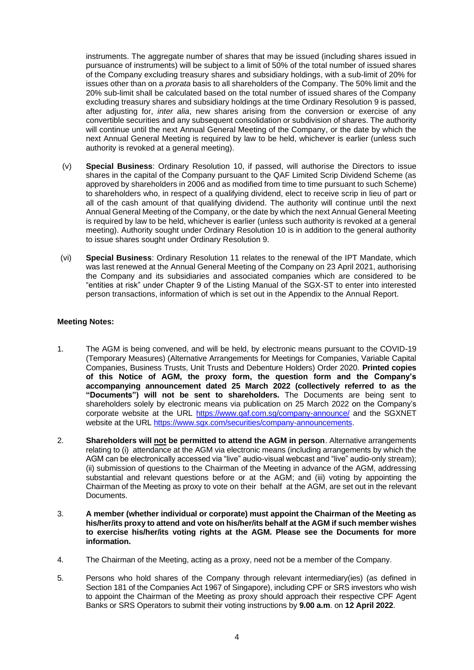instruments. The aggregate number of shares that may be issued (including shares issued in pursuance of instruments) will be subject to a limit of 50% of the total number of issued shares of the Company excluding treasury shares and subsidiary holdings, with a sub-limit of 20% for issues other than on a *prorata* basis to all shareholders of the Company. The 50% limit and the 20% sub-limit shall be calculated based on the total number of issued shares of the Company excluding treasury shares and subsidiary holdings at the time Ordinary Resolution 9 is passed, after adjusting for, *inter alia*, new shares arising from the conversion or exercise of any convertible securities and any subsequent consolidation or subdivision of shares. The authority will continue until the next Annual General Meeting of the Company, or the date by which the next Annual General Meeting is required by law to be held, whichever is earlier (unless such authority is revoked at a general meeting).

- (v) **Special Business**: Ordinary Resolution 10, if passed, will authorise the Directors to issue shares in the capital of the Company pursuant to the QAF Limited Scrip Dividend Scheme (as approved by shareholders in 2006 and as modified from time to time pursuant to such Scheme) to shareholders who, in respect of a qualifying dividend, elect to receive scrip in lieu of part or all of the cash amount of that qualifying dividend. The authority will continue until the next Annual General Meeting of the Company, or the date by which the next Annual General Meeting is required by law to be held, whichever is earlier (unless such authority is revoked at a general meeting). Authority sought under Ordinary Resolution 10 is in addition to the general authority to issue shares sought under Ordinary Resolution 9.
- (vi) **Special Business**: Ordinary Resolution 11 relates to the renewal of the IPT Mandate, which was last renewed at the Annual General Meeting of the Company on 23 April 2021, authorising the Company and its subsidiaries and associated companies which are considered to be "entities at risk" under Chapter 9 of the Listing Manual of the SGX-ST to enter into interested person transactions, information of which is set out in the Appendix to the Annual Report.

### **Meeting Notes:**

- 1. The AGM is being convened, and will be held, by electronic means pursuant to the COVID-19 (Temporary Measures) (Alternative Arrangements for Meetings for Companies, Variable Capital Companies, Business Trusts, Unit Trusts and Debenture Holders) Order 2020. **Printed copies of this Notice of AGM, the proxy form, the question form and the Company's accompanying announcement dated 25 March 2022 (collectively referred to as the "Documents") will not be sent to shareholders.** The Documents are being sent to shareholders solely by electronic means via publication on 25 March 2022 on the Company's corporate website at the URL<https://www.qaf.com.sg/company-announce/> and the SGXNET website at the URL [https://www.sgx.com/securities/company-announcements.](https://www.sgx.com/securities/company-announcements)
- 2. **Shareholders will not be permitted to attend the AGM in person**. Alternative arrangements relating to (i) attendance at the AGM via electronic means (including arrangements by which the AGM can be electronically accessed via "live" audio-visual webcast and "live" audio-only stream); (ii) submission of questions to the Chairman of the Meeting in advance of the AGM, addressing substantial and relevant questions before or at the AGM; and (iii) voting by appointing the Chairman of the Meeting as proxy to vote on their behalf at the AGM, are set out in the relevant Documents.
- 3. **A member (whether individual or corporate) must appoint the Chairman of the Meeting as his/her/its proxy to attend and vote on his/her/its behalf at the AGM if such member wishes to exercise his/her/its voting rights at the AGM. Please see the Documents for more information.**
- 4. The Chairman of the Meeting, acting as a proxy, need not be a member of the Company.
- 5. Persons who hold shares of the Company through relevant intermediary(ies) (as defined in Section 181 of the Companies Act 1967 of Singapore), including CPF or SRS investors who wish to appoint the Chairman of the Meeting as proxy should approach their respective CPF Agent Banks or SRS Operators to submit their voting instructions by **9.00 a.m**. on **12 April 2022**.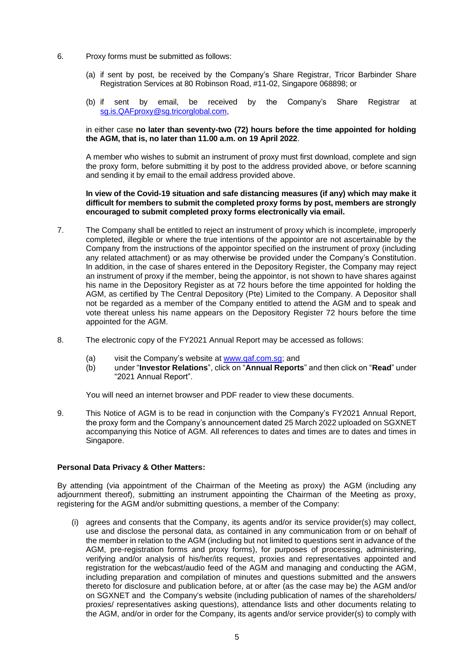- 6. Proxy forms must be submitted as follows:
	- (a) if sent by post, be received by the Company's Share Registrar, Tricor Barbinder Share Registration Services at 80 Robinson Road, #11-02, Singapore 068898; or
	- (b) if sent by email, be received by the Company's Share Registrar at [sg.is.QAFproxy@sg.tricorglobal.com,](mailto:sg.is.QAFproxy@sg.tricorglobal.com)

#### in either case **no later than seventy-two (72) hours before the time appointed for holding the AGM, that is, no later than 11.00 a.m. on 19 April 2022**.

A member who wishes to submit an instrument of proxy must first download, complete and sign the proxy form, before submitting it by post to the address provided above, or before scanning and sending it by email to the email address provided above.

#### **In view of the Covid-19 situation and safe distancing measures (if any) which may make it difficult for members to submit the completed proxy forms by post, members are strongly encouraged to submit completed proxy forms electronically via email.**

- 7. The Company shall be entitled to reject an instrument of proxy which is incomplete, improperly completed, illegible or where the true intentions of the appointor are not ascertainable by the Company from the instructions of the appointor specified on the instrument of proxy (including any related attachment) or as may otherwise be provided under the Company's Constitution. In addition, in the case of shares entered in the Depository Register, the Company may reject an instrument of proxy if the member, being the appointor, is not shown to have shares against his name in the Depository Register as at 72 hours before the time appointed for holding the AGM, as certified by The Central Depository (Pte) Limited to the Company. A Depositor shall not be regarded as a member of the Company entitled to attend the AGM and to speak and vote thereat unless his name appears on the Depository Register 72 hours before the time appointed for the AGM.
- 8. The electronic copy of the FY2021 Annual Report may be accessed as follows:
	- (a) visit the Company's website at [www.qaf.com.sg;](http://www.qaf.com.sg/) and
	- (b) under "**Investor Relations**", click on "**Annual Reports**" and then click on "**Read**" under "2021 Annual Report".

You will need an internet browser and PDF reader to view these documents.

9. This Notice of AGM is to be read in conjunction with the Company's FY2021 Annual Report, the proxy form and the Company's announcement dated 25 March 2022 uploaded on SGXNET accompanying this Notice of AGM. All references to dates and times are to dates and times in Singapore.

### **Personal Data Privacy & Other Matters:**

By attending (via appointment of the Chairman of the Meeting as proxy) the AGM (including any adjournment thereof), submitting an instrument appointing the Chairman of the Meeting as proxy, registering for the AGM and/or submitting questions, a member of the Company:

(i) agrees and consents that the Company, its agents and/or its service provider(s) may collect, use and disclose the personal data, as contained in any communication from or on behalf of the member in relation to the AGM (including but not limited to questions sent in advance of the AGM, pre-registration forms and proxy forms), for purposes of processing, administering, verifying and/or analysis of his/her/its request, proxies and representatives appointed and registration for the webcast/audio feed of the AGM and managing and conducting the AGM, including preparation and compilation of minutes and questions submitted and the answers thereto for disclosure and publication before, at or after (as the case may be) the AGM and/or on SGXNET and the Company's website (including publication of names of the shareholders/ proxies/ representatives asking questions), attendance lists and other documents relating to the AGM, and/or in order for the Company, its agents and/or service provider(s) to comply with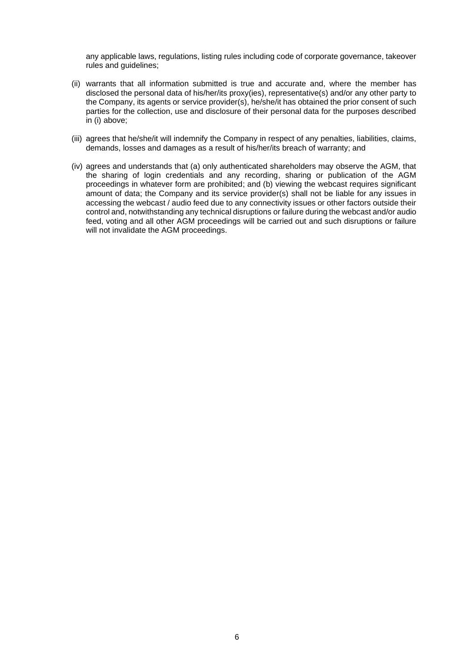any applicable laws, regulations, listing rules including code of corporate governance, takeover rules and guidelines;

- (ii) warrants that all information submitted is true and accurate and, where the member has disclosed the personal data of his/her/its proxy(ies), representative(s) and/or any other party to the Company, its agents or service provider(s), he/she/it has obtained the prior consent of such parties for the collection, use and disclosure of their personal data for the purposes described in (i) above;
- (iii) agrees that he/she/it will indemnify the Company in respect of any penalties, liabilities, claims, demands, losses and damages as a result of his/her/its breach of warranty; and
- (iv) agrees and understands that (a) only authenticated shareholders may observe the AGM, that the sharing of login credentials and any recording, sharing or publication of the AGM proceedings in whatever form are prohibited; and (b) viewing the webcast requires significant amount of data; the Company and its service provider(s) shall not be liable for any issues in accessing the webcast / audio feed due to any connectivity issues or other factors outside their control and, notwithstanding any technical disruptions or failure during the webcast and/or audio feed, voting and all other AGM proceedings will be carried out and such disruptions or failure will not invalidate the AGM proceedings.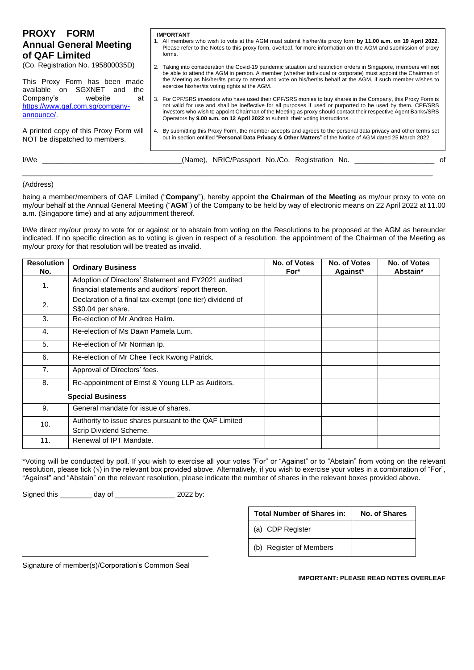| <b>PROXY FORM</b><br><b>Annual General Meeting</b><br>of QAF Limited        | <b>IMPORTANT</b><br>1. All members who wish to vote at the AGM must submit his/her/its proxy form by 11.00 a.m. on 19 April 2022.<br>Please refer to the Notes to this proxy form, overleaf, for more information on the AGM and submission of proxy<br>forms.                                                                                                                                                                 |
|-----------------------------------------------------------------------------|--------------------------------------------------------------------------------------------------------------------------------------------------------------------------------------------------------------------------------------------------------------------------------------------------------------------------------------------------------------------------------------------------------------------------------|
| (Co. Registration No. 195800035D)                                           | 2. Taking into consideration the Covid-19 pandemic situation and restriction orders in Singapore, members will not<br>be able to attend the AGM in person. A member (whether individual or corporate) must appoint the Chairman of                                                                                                                                                                                             |
| This Proxy Form has been made<br>SGXNET<br>available on<br>the<br>and       | the Meeting as his/her/its proxy to attend and vote on his/her/its behalf at the AGM, if such member wishes to<br>exercise his/her/its voting rights at the AGM.                                                                                                                                                                                                                                                               |
| Company's<br>website<br>at<br>https://www.qaf.com.sg/company-<br>announce/. | 3. For CPF/SRS investors who have used their CPF/SRS monies to buy shares in the Company, this Proxy Form is<br>not valid for use and shall be ineffective for all purposes if used or purported to be used by them. CPF/SRS<br>investors who wish to appoint Chairman of the Meeting as proxy should contact their respective Agent Banks/SRS<br>Operators by 9.00 a.m. on 12 April 2022 to submit their voting instructions. |
| A printed copy of this Proxy Form will<br>NOT be dispatched to members.     | 4. By submitting this Proxy Form, the member accepts and agrees to the personal data privacy and other terms set<br>out in section entitled "Personal Data Privacy & Other Matters" of the Notice of AGM dated 25 March 2022.                                                                                                                                                                                                  |
| I/We                                                                        | (Name), NRIC/Passport No./Co. Registration No.<br>ി                                                                                                                                                                                                                                                                                                                                                                            |

#### (Address)

being a member/members of QAF Limited ("**Company**"), hereby appoint **the Chairman of the Meeting** as my/our proxy to vote on my/our behalf at the Annual General Meeting ("**AGM**") of the Company to be held by way of electronic means on 22 April 2022 at 11.00 a.m. (Singapore time) and at any adjournment thereof.

\_\_\_\_\_\_\_\_\_\_\_\_\_\_\_\_\_\_\_\_\_\_\_\_\_\_\_\_\_\_\_\_\_\_\_\_\_\_\_\_\_\_\_\_\_\_\_\_\_\_\_\_\_\_\_\_\_\_\_\_\_\_\_\_\_\_\_\_\_\_\_\_\_\_\_\_\_\_\_\_\_\_\_\_\_\_\_\_\_\_\_\_\_\_\_\_\_\_\_\_\_\_\_

I/We direct my/our proxy to vote for or against or to abstain from voting on the Resolutions to be proposed at the AGM as hereunder indicated. If no specific direction as to voting is given in respect of a resolution, the appointment of the Chairman of the Meeting as my/our proxy for that resolution will be treated as invalid.

| <b>Resolution</b><br>No. | <b>Ordinary Business</b>                                 | No. of Votes<br>For* | No. of Votes<br>Against* | No. of Votes<br>Abstain* |
|--------------------------|----------------------------------------------------------|----------------------|--------------------------|--------------------------|
|                          | Adoption of Directors' Statement and FY2021 audited      |                      |                          |                          |
| 1.                       | financial statements and auditors' report thereon.       |                      |                          |                          |
| 2.                       | Declaration of a final tax-exempt (one tier) dividend of |                      |                          |                          |
|                          | S\$0.04 per share.                                       |                      |                          |                          |
| 3.                       | Re-election of Mr Andree Halim.                          |                      |                          |                          |
| 4.                       | Re-election of Ms Dawn Pamela Lum.                       |                      |                          |                          |
| 5.                       | Re-election of Mr Norman Ip.                             |                      |                          |                          |
| 6.                       | Re-election of Mr Chee Teck Kwong Patrick.               |                      |                          |                          |
| 7 <sub>1</sub>           | Approval of Directors' fees.                             |                      |                          |                          |
| 8.                       | Re-appointment of Ernst & Young LLP as Auditors.         |                      |                          |                          |
|                          | <b>Special Business</b>                                  |                      |                          |                          |
| 9.                       | General mandate for issue of shares.                     |                      |                          |                          |
| 10.                      | Authority to issue shares pursuant to the QAF Limited    |                      |                          |                          |
|                          | Scrip Dividend Scheme.                                   |                      |                          |                          |
| 11.                      | Renewal of IPT Mandate.                                  |                      |                          |                          |

\*Voting will be conducted by poll. If you wish to exercise all your votes "For" or "Against" or to "Abstain" from voting on the relevant resolution, please tick (√) in the relevant box provided above. Alternatively, if you wish to exercise your votes in a combination of "For", "Against" and "Abstain" on the relevant resolution, please indicate the number of shares in the relevant boxes provided above.

Signed this \_\_\_\_\_\_\_\_ day of \_\_\_\_\_\_\_\_\_\_\_\_\_\_\_ 2022 by:

| <b>Total Number of Shares in:</b> | No. of Shares |
|-----------------------------------|---------------|
| (a) CDP Register                  |               |
| (b) Register of Members           |               |

Signature of member(s)/Corporation's Common Seal

#### **IMPORTANT: PLEASE READ NOTES OVERLEAF**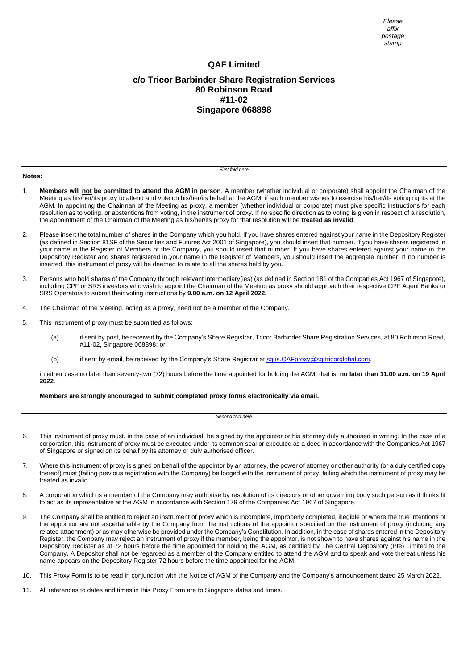## **QAF Limited c/o Tricor Barbinder Share Registration Services 80 Robinson Road #11-02 Singapore 068898**

#### **Notes:**

*First fold here*

- 1. **Members will not be permitted to attend the AGM in person**. A member (whether individual or corporate) shall appoint the Chairman of the Meeting as his/her/its proxy to attend and vote on his/her/its behalf at the AGM, if such member wishes to exercise his/her/its voting rights at the AGM. In appointing the Chairman of the Meeting as proxy, a member (whether individual or corporate) must give specific instructions for each resolution as to voting, or abstentions from voting, in the instrument of proxy. If no specific direction as to voting is given in respect of a resolution, the appointment of the Chairman of the Meeting as his/her/its proxy for that resolution will be **treated as invalid**.
- 2. Please insert the total number of shares in the Company which you hold. If you have shares entered against your name in the Depository Register (as defined in Section 81SF of the Securities and Futures Act 2001 of Singapore), you should insert that number. If you have shares registered in your name in the Register of Members of the Company, you should insert that number. If you have shares entered against your name in the Depository Register and shares registered in your name in the Register of Members, you should insert the aggregate number. If no number is inserted, this instrument of proxy will be deemed to relate to all the shares held by you.
- 3. Persons who hold shares of the Company through relevant intermediary(ies) (as defined in Section 181 of the Companies Act 1967 of Singapore), including CPF or SRS investors who wish to appoint the Chairman of the Meeting as proxy should approach their respective CPF Agent Banks or SRS Operators to submit their voting instructions by **9.00 a.m. on 12 April 2022.**
- 4. The Chairman of the Meeting, acting as a proxy, need not be a member of the Company.
- 5. This instrument of proxy must be submitted as follows:
	- (a) if sent by post, be received by the Company's Share Registrar, Tricor Barbinder Share Registration Services, at 80 Robinson Road, #11-02, Singapore 068898; or
	- (b) if sent by email, be received by the Company's Share Registrar a[t sg.is.QAFproxy@sg.tricorglobal.com,](mailto:sg.is.QAFproxy@sg.tricorglobal.com)

in either case no later than seventy-two (72) hours before the time appointed for holding the AGM, that is, **no later than 11.00 a.m. on 19 April 2022**.

**Members are strongly encouraged to submit completed proxy forms electronically via email.**

#### *Second fold here*

- 6. This instrument of proxy must, in the case of an individual, be signed by the appointor or his attorney duly authorised in writing. In the case of a corporation, this instrument of proxy must be executed under its common seal or executed as a deed in accordance with the Companies Act 1967 of Singapore or signed on its behalf by its attorney or duly authorised officer.
- 7. Where this instrument of proxy is signed on behalf of the appointor by an attorney, the power of attorney or other authority (or a duly certified copy thereof) must (failing previous registration with the Company) be lodged with the instrument of proxy, failing which the instrument of proxy may be treated as invalid.
- 8. A corporation which is a member of the Company may authorise by resolution of its directors or other governing body such person as it thinks fit to act as its representative at the AGM in accordance with Section 179 of the Companies Act 1967 of Singapore.
- 9. The Company shall be entitled to reject an instrument of proxy which is incomplete, improperly completed, illegible or where the true intentions of the appointor are not ascertainable by the Company from the instructions of the appointor specified on the instrument of proxy (including any related attachment) or as may otherwise be provided under the Company's Constitution. In addition, in the case of shares entered in the Depository Register, the Company may reject an instrument of proxy if the member, being the appointor, is not shown to have shares against his name in the Depository Register as at 72 hours before the time appointed for holding the AGM, as certified by The Central Depository (Pte) Limited to the Company. A Depositor shall not be regarded as a member of the Company entitled to attend the AGM and to speak and vote thereat unless his name appears on the Depository Register 72 hours before the time appointed for the AGM.
- 10. This Proxy Form is to be read in conjunction with the Notice of AGM of the Company and the Company's announcement dated 25 March 2022.
- 11. All references to dates and times in this Proxy Form are to Singapore dates and times.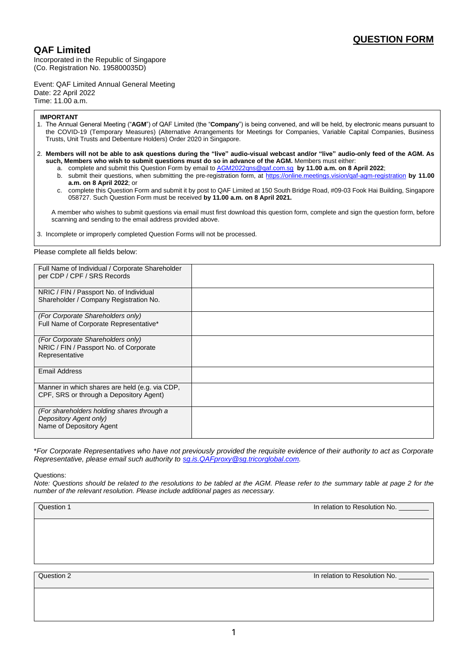## **QAF Limited**

Incorporated in the Republic of Singapore (Co. Registration No. 195800035D)

Event: QAF Limited Annual General Meeting Date: 22 April 2022 Time: 11.00 a.m.

#### **IMPORTANT**

- 1. The Annual General Meeting ("**AGM**") of QAF Limited (the "**Company**") is being convened, and will be held, by electronic means pursuant to the COVID-19 (Temporary Measures) (Alternative Arrangements for Meetings for Companies, Variable Capital Companies, Business Trusts, Unit Trusts and Debenture Holders) Order 2020 in Singapore.
- 2. **Members will not be able to ask questions during the "live" audio-visual webcast and/or "live" audio-only feed of the AGM. As such, Members who wish to submit questions must do so in advance of the AGM.** Members must either:
	- a. complete and submit this Question Form by email t[o AGM2022qns@qaf.com.sg](mailto:AGM2021qns@qaf.com.sg) **by 11.00 a.m. on 8 April 2022**;
	- b. submit their questions, when submitting the pre-registration form, at<https://online.meetings.vision/qaf-agm-registration> **by 11.00 a.m. on 8 April 2022**; or
	- c. complete this Question Form and submit it by post to QAF Limited at 150 South Bridge Road, #09-03 Fook Hai Building, Singapore 058727. Such Question Form must be received **by 11.00 a.m. on 8 April 2021.**

A member who wishes to submit questions via email must first download this question form, complete and sign the question form, before scanning and sending to the email address provided above.

3. Incomplete or improperly completed Question Forms will not be processed.

Please complete all fields below:

| Full Name of Individual / Corporate Shareholder<br>per CDP / CPF / SRS Records                   |  |
|--------------------------------------------------------------------------------------------------|--|
| NRIC / FIN / Passport No. of Individual<br>Shareholder / Company Registration No.                |  |
| (For Corporate Shareholders only)<br>Full Name of Corporate Representative*                      |  |
| (For Corporate Shareholders only)<br>NRIC / FIN / Passport No. of Corporate<br>Representative    |  |
| <b>Email Address</b>                                                                             |  |
| Manner in which shares are held (e.g. via CDP,<br>CPF, SRS or through a Depository Agent)        |  |
| (For shareholders holding shares through a<br>Depository Agent only)<br>Name of Depository Agent |  |

\**For Corporate Representatives who have not previously provided the requisite evidence of their authority to act as Corporate Representative, please email such authority t[o sg.is.QAFproxy@sg.tricorglobal.com.](mailto:sg.is.QAFproxy@sg.tricorglobal.com)* 

Questions:

*Note: Questions should be related to the resolutions to be tabled at the AGM. Please refer to the summary table at page 2 for the number of the relevant resolution. Please include additional pages as necessary.*

Question 1 **In relation to Resolution No. Contract to Resolution No. In relation to Resolution No.** 

Question 2 **In relation 2** In relation to Resolution No.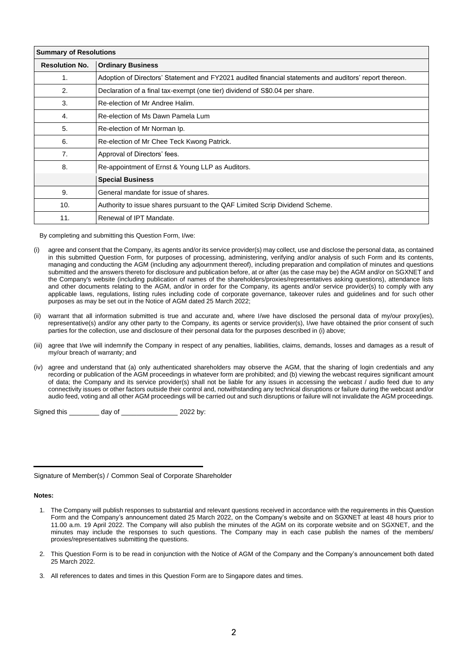| <b>Summary of Resolutions</b> |                                                                                                        |  |  |  |
|-------------------------------|--------------------------------------------------------------------------------------------------------|--|--|--|
| <b>Resolution No.</b>         | <b>Ordinary Business</b>                                                                               |  |  |  |
| 1.                            | Adoption of Directors' Statement and FY2021 audited financial statements and auditors' report thereon. |  |  |  |
| 2.                            | Declaration of a final tax-exempt (one tier) dividend of S\$0.04 per share.                            |  |  |  |
| 3.                            | Re-election of Mr Andree Halim.                                                                        |  |  |  |
| 4.                            | Re-election of Ms Dawn Pamela Lum                                                                      |  |  |  |
| 5.                            | Re-election of Mr Norman Ip.                                                                           |  |  |  |
| 6.                            | Re-election of Mr Chee Teck Kwong Patrick.                                                             |  |  |  |
| 7 <sub>1</sub>                | Approval of Directors' fees.                                                                           |  |  |  |
| 8.                            | Re-appointment of Ernst & Young LLP as Auditors.                                                       |  |  |  |
|                               | <b>Special Business</b>                                                                                |  |  |  |
| 9.                            | General mandate for issue of shares.                                                                   |  |  |  |
| 10.                           | Authority to issue shares pursuant to the QAF Limited Scrip Dividend Scheme.                           |  |  |  |
| 11.                           | Renewal of IPT Mandate.                                                                                |  |  |  |

By completing and submitting this Question Form, I/we:

- (i) agree and consent that the Company, its agents and/or its service provider(s) may collect, use and disclose the personal data, as contained in this submitted Question Form, for purposes of processing, administering, verifying and/or analysis of such Form and its contents, managing and conducting the AGM (including any adjournment thereof), including preparation and compilation of minutes and questions submitted and the answers thereto for disclosure and publication before, at or after (as the case may be) the AGM and/or on SGXNET and the Company's website (including publication of names of the shareholders/proxies/representatives asking questions), attendance lists and other documents relating to the AGM, and/or in order for the Company, its agents and/or service provider(s) to comply with any applicable laws, regulations, listing rules including code of corporate governance, takeover rules and guidelines and for such other purposes as may be set out in the Notice of AGM dated 25 March 2022;
- (ii) warrant that all information submitted is true and accurate and, where I/we have disclosed the personal data of my/our proxy(ies), representative(s) and/or any other party to the Company, its agents or service provider(s), I/we have obtained the prior consent of such parties for the collection, use and disclosure of their personal data for the purposes described in (i) above;
- (iii) agree that I/we will indemnify the Company in respect of any penalties, liabilities, claims, demands, losses and damages as a result of my/our breach of warranty; and
- (iv) agree and understand that (a) only authenticated shareholders may observe the AGM, that the sharing of login credentials and any recording or publication of the AGM proceedings in whatever form are prohibited; and (b) viewing the webcast requires significant amount of data; the Company and its service provider(s) shall not be liable for any issues in accessing the webcast / audio feed due to any connectivity issues or other factors outside their control and, notwithstanding any technical disruptions or failure during the webcast and/or audio feed, voting and all other AGM proceedings will be carried out and such disruptions or failure will not invalidate the AGM proceedings.

Signed this \_\_\_\_\_\_\_\_ day of \_\_\_\_\_\_\_\_\_\_\_\_\_\_\_ 2022 by:

Signature of Member(s) / Common Seal of Corporate Shareholder

#### **Notes:**

- 1. The Company will publish responses to substantial and relevant questions received in accordance with the requirements in this Question Form and the Company's announcement dated 25 March 2022, on the Company's website and on SGXNET at least 48 hours prior to 11.00 a.m. 19 April 2022. The Company will also publish the minutes of the AGM on its corporate website and on SGXNET, and the minutes may include the responses to such questions. The Company may in each case publish the names of the members/ proxies/representatives submitting the questions.
- 2. This Question Form is to be read in conjunction with the Notice of AGM of the Company and the Company's announcement both dated 25 March 2022.
- 3. All references to dates and times in this Question Form are to Singapore dates and times.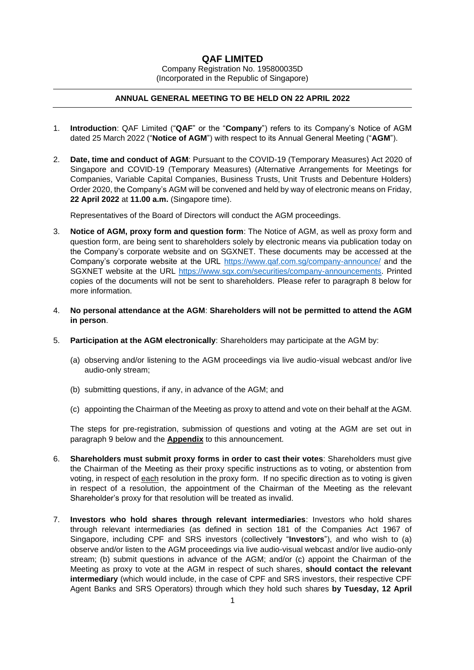### **QAF LIMITED**

Company Registration No. 195800035D (Incorporated in the Republic of Singapore)

#### **ANNUAL GENERAL MEETING TO BE HELD ON 22 APRIL 2022**

- 1. **Introduction**: QAF Limited ("**QAF**" or the "**Company**") refers to its Company's Notice of AGM dated 25 March 2022 ("**Notice of AGM**") with respect to its Annual General Meeting ("**AGM**").
- 2. **Date, time and conduct of AGM**: Pursuant to the COVID-19 (Temporary Measures) Act 2020 of Singapore and COVID-19 (Temporary Measures) (Alternative Arrangements for Meetings for Companies, Variable Capital Companies, Business Trusts, Unit Trusts and Debenture Holders) Order 2020, the Company's AGM will be convened and held by way of electronic means on Friday, **22 April 2022** at **11.00 a.m.** (Singapore time).

Representatives of the Board of Directors will conduct the AGM proceedings.

- 3. **Notice of AGM, proxy form and question form**: The Notice of AGM, as well as proxy form and question form, are being sent to shareholders solely by electronic means via publication today on the Company's corporate website and on SGXNET. These documents may be accessed at the Company's corporate website at the URL<https://www.qaf.com.sg/company-announce/> and the SGXNET website at the URL [https://www.sgx.com/securities/company-announcements.](https://www.sgx.com/securities/company-announcements) Printed copies of the documents will not be sent to shareholders. Please refer to paragraph 8 below for more information.
- 4. **No personal attendance at the AGM**: **Shareholders will not be permitted to attend the AGM in person**.
- 5. **Participation at the AGM electronically**: Shareholders may participate at the AGM by:
	- (a) observing and/or listening to the AGM proceedings via live audio-visual webcast and/or live audio-only stream;
	- (b) submitting questions, if any, in advance of the AGM; and
	- (c) appointing the Chairman of the Meeting as proxy to attend and vote on their behalf at the AGM.

The steps for pre-registration, submission of questions and voting at the AGM are set out in paragraph 9 below and the **Appendix** to this announcement.

- 6. **Shareholders must submit proxy forms in order to cast their votes**: Shareholders must give the Chairman of the Meeting as their proxy specific instructions as to voting, or abstention from voting, in respect of each resolution in the proxy form. If no specific direction as to voting is given in respect of a resolution, the appointment of the Chairman of the Meeting as the relevant Shareholder's proxy for that resolution will be treated as invalid.
- 7. **Investors who hold shares through relevant intermediaries**: Investors who hold shares through relevant intermediaries (as defined in section 181 of the Companies Act 1967 of Singapore, including CPF and SRS investors (collectively "**Investors**"), and who wish to (a) observe and/or listen to the AGM proceedings via live audio-visual webcast and/or live audio-only stream; (b) submit questions in advance of the AGM; and/or (c) appoint the Chairman of the Meeting as proxy to vote at the AGM in respect of such shares, **should contact the relevant intermediary** (which would include, in the case of CPF and SRS investors, their respective CPF Agent Banks and SRS Operators) through which they hold such shares **by Tuesday, 12 April**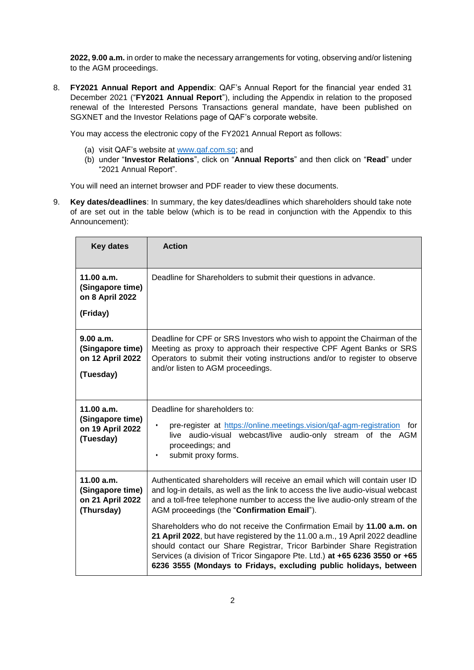**2022, 9.00 a.m.** in order to make the necessary arrangements for voting, observing and/or listening to the AGM proceedings.

8. **FY2021 Annual Report and Appendix**: QAF's Annual Report for the financial year ended 31 December 2021 ("**FY2021 Annual Report**"), including the Appendix in relation to the proposed renewal of the Interested Persons Transactions general mandate, have been published on SGXNET and the Investor Relations page of QAF's corporate website.

You may access the electronic copy of the FY2021 Annual Report as follows:

- (a) visit QAF's website at [www.qaf.com.sg;](http://www.qaf.com.sg/) and
- (b) under "**Investor Relations**", click on "**Annual Reports**" and then click on "**Read**" under "2021 Annual Report".

You will need an internet browser and PDF reader to view these documents.

9. **Key dates/deadlines**: In summary, the key dates/deadlines which shareholders should take note of are set out in the table below (which is to be read in conjunction with the Appendix to this Announcement):

| <b>Key dates</b>                                                 | <b>Action</b>                                                                                                                                                                                                                                                                                                                                                                          |  |  |
|------------------------------------------------------------------|----------------------------------------------------------------------------------------------------------------------------------------------------------------------------------------------------------------------------------------------------------------------------------------------------------------------------------------------------------------------------------------|--|--|
| 11.00 a.m.<br>(Singapore time)<br>on 8 April 2022                | Deadline for Shareholders to submit their questions in advance.                                                                                                                                                                                                                                                                                                                        |  |  |
| (Friday)                                                         |                                                                                                                                                                                                                                                                                                                                                                                        |  |  |
| 9.00 a.m.<br>(Singapore time)<br>on 12 April 2022<br>(Tuesday)   | Deadline for CPF or SRS Investors who wish to appoint the Chairman of the<br>Meeting as proxy to approach their respective CPF Agent Banks or SRS<br>Operators to submit their voting instructions and/or to register to observe<br>and/or listen to AGM proceedings.                                                                                                                  |  |  |
| 11.00 a.m.<br>(Singapore time)<br>on 19 April 2022<br>(Tuesday)  | Deadline for shareholders to:<br>pre-register at https://online.meetings.vision/qaf-agm-registration<br>for<br>$\bullet$<br>audio-visual webcast/live<br>audio-only stream<br>of the AGM<br>live<br>proceedings; and<br>submit proxy forms.<br>$\bullet$                                                                                                                               |  |  |
| 11.00 a.m.<br>(Singapore time)<br>on 21 April 2022<br>(Thursday) | Authenticated shareholders will receive an email which will contain user ID<br>and log-in details, as well as the link to access the live audio-visual webcast<br>and a toll-free telephone number to access the live audio-only stream of the<br>AGM proceedings (the "Confirmation Email").                                                                                          |  |  |
|                                                                  | Shareholders who do not receive the Confirmation Email by 11.00 a.m. on<br>21 April 2022, but have registered by the 11.00 a.m., 19 April 2022 deadline<br>should contact our Share Registrar, Tricor Barbinder Share Registration<br>Services (a division of Tricor Singapore Pte. Ltd.) at +65 6236 3550 or +65<br>6236 3555 (Mondays to Fridays, excluding public holidays, between |  |  |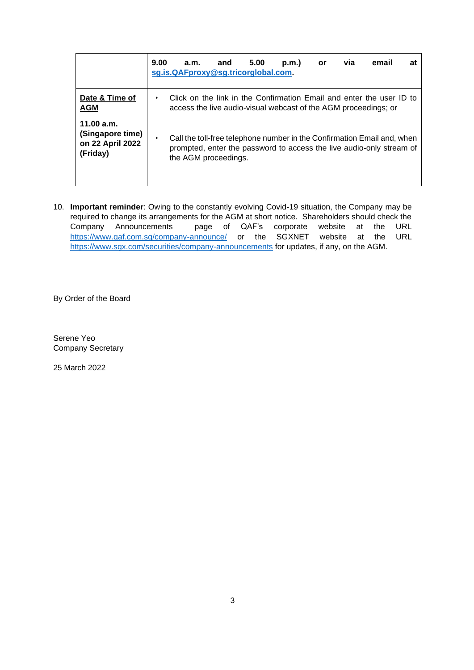|                                                                | 9.00 | a.m.<br>sg.is.QAFproxy@sg.tricorglobal.com.                                                                                                                             | and | 5.00 | p.m.) | or | via | email | at |
|----------------------------------------------------------------|------|-------------------------------------------------------------------------------------------------------------------------------------------------------------------------|-----|------|-------|----|-----|-------|----|
| Date & Time of<br><b>AGM</b>                                   |      | Click on the link in the Confirmation Email and enter the user ID to<br>access the live audio-visual webcast of the AGM proceedings; or                                 |     |      |       |    |     |       |    |
| 11.00 a.m.<br>(Singapore time)<br>on 22 April 2022<br>(Friday) |      | Call the toll-free telephone number in the Confirmation Email and, when<br>prompted, enter the password to access the live audio-only stream of<br>the AGM proceedings. |     |      |       |    |     |       |    |

10. **Important reminder**: Owing to the constantly evolving Covid-19 situation, the Company may be required to change its arrangements for the AGM at short notice. Shareholders should check the<br>Company Announcements page of QAF's corporate website at the URL page of QAF's corporate website at the URL <https://www.qaf.com.sg/company-announce/> or the SGXNET website at the URL <https://www.sgx.com/securities/company-announcements> for updates, if any, on the AGM.

By Order of the Board

Serene Yeo Company Secretary

25 March 2022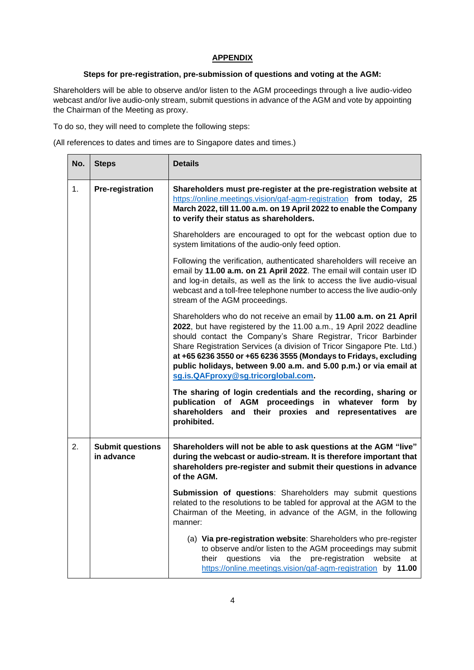### **APPENDIX**

### **Steps for pre-registration, pre-submission of questions and voting at the AGM:**

Shareholders will be able to observe and/or listen to the AGM proceedings through a live audio-video webcast and/or live audio-only stream, submit questions in advance of the AGM and vote by appointing the Chairman of the Meeting as proxy.

To do so, they will need to complete the following steps:

(All references to dates and times are to Singapore dates and times.)

| No. | <b>Steps</b>                          | <b>Details</b>                                                                                                                                                                                                                                                                                                                                                                                                                                                        |  |  |  |
|-----|---------------------------------------|-----------------------------------------------------------------------------------------------------------------------------------------------------------------------------------------------------------------------------------------------------------------------------------------------------------------------------------------------------------------------------------------------------------------------------------------------------------------------|--|--|--|
| 1.  | <b>Pre-registration</b>               | Shareholders must pre-register at the pre-registration website at<br>https://online.meetings.vision/qaf-agm-registration from today, 25<br>March 2022, till 11.00 a.m. on 19 April 2022 to enable the Company<br>to verify their status as shareholders.                                                                                                                                                                                                              |  |  |  |
|     |                                       | Shareholders are encouraged to opt for the webcast option due to<br>system limitations of the audio-only feed option.                                                                                                                                                                                                                                                                                                                                                 |  |  |  |
|     |                                       | Following the verification, authenticated shareholders will receive an<br>email by 11.00 a.m. on 21 April 2022. The email will contain user ID<br>and log-in details, as well as the link to access the live audio-visual<br>webcast and a toll-free telephone number to access the live audio-only<br>stream of the AGM proceedings.                                                                                                                                 |  |  |  |
|     |                                       | Shareholders who do not receive an email by 11.00 a.m. on 21 April<br>2022, but have registered by the 11.00 a.m., 19 April 2022 deadline<br>should contact the Company's Share Registrar, Tricor Barbinder<br>Share Registration Services (a division of Tricor Singapore Pte. Ltd.)<br>at +65 6236 3550 or +65 6236 3555 (Mondays to Fridays, excluding<br>public holidays, between 9.00 a.m. and 5.00 p.m.) or via email at<br>sg.is.QAFproxy@sg.tricorglobal.com. |  |  |  |
|     |                                       | The sharing of login credentials and the recording, sharing or<br>publication of AGM proceedings in whatever form<br>by<br>shareholders and their proxies and<br>representatives<br>are<br>prohibited.                                                                                                                                                                                                                                                                |  |  |  |
| 2.  | <b>Submit questions</b><br>in advance | Shareholders will not be able to ask questions at the AGM "live"<br>during the webcast or audio-stream. It is therefore important that<br>shareholders pre-register and submit their questions in advance<br>of the AGM.                                                                                                                                                                                                                                              |  |  |  |
|     |                                       | Submission of questions: Shareholders may submit questions<br>related to the resolutions to be tabled for approval at the AGM to the<br>Chairman of the Meeting, in advance of the AGM, in the following<br>manner:                                                                                                                                                                                                                                                   |  |  |  |
|     |                                       | (a) Via pre-registration website: Shareholders who pre-register<br>to observe and/or listen to the AGM proceedings may submit<br>questions via the pre-registration website<br>their<br>at<br>https://online.meetings.vision/qaf-agm-registration by 11.00                                                                                                                                                                                                            |  |  |  |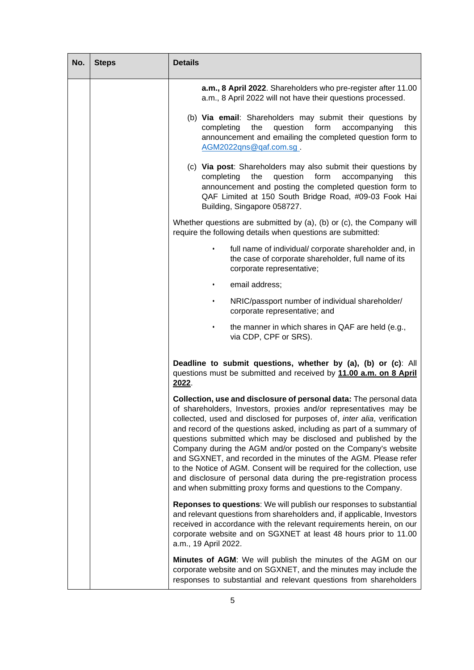| No. | <b>Steps</b> | <b>Details</b>                                                                                                                                                                                                                                                                                                                                                                                                                                                                                                                                                                                                                                                                                                       |
|-----|--------------|----------------------------------------------------------------------------------------------------------------------------------------------------------------------------------------------------------------------------------------------------------------------------------------------------------------------------------------------------------------------------------------------------------------------------------------------------------------------------------------------------------------------------------------------------------------------------------------------------------------------------------------------------------------------------------------------------------------------|
|     |              | a.m., 8 April 2022. Shareholders who pre-register after 11.00<br>a.m., 8 April 2022 will not have their questions processed.                                                                                                                                                                                                                                                                                                                                                                                                                                                                                                                                                                                         |
|     |              | (b) Via email: Shareholders may submit their questions by<br>the<br>question<br>form<br>completing<br>accompanying<br>this<br>announcement and emailing the completed question form to<br>AGM2022qns@qaf.com.sq.                                                                                                                                                                                                                                                                                                                                                                                                                                                                                                     |
|     |              | (c) Via post: Shareholders may also submit their questions by<br>completing<br>the<br>question<br>form<br>accompanying<br>this<br>announcement and posting the completed question form to<br>QAF Limited at 150 South Bridge Road, #09-03 Fook Hai<br>Building, Singapore 058727.                                                                                                                                                                                                                                                                                                                                                                                                                                    |
|     |              | Whether questions are submitted by (a), (b) or (c), the Company will<br>require the following details when questions are submitted:                                                                                                                                                                                                                                                                                                                                                                                                                                                                                                                                                                                  |
|     |              | full name of individual/ corporate shareholder and, in<br>$\bullet$<br>the case of corporate shareholder, full name of its<br>corporate representative;                                                                                                                                                                                                                                                                                                                                                                                                                                                                                                                                                              |
|     |              | email address:                                                                                                                                                                                                                                                                                                                                                                                                                                                                                                                                                                                                                                                                                                       |
|     |              | NRIC/passport number of individual shareholder/<br>$\bullet$<br>corporate representative; and                                                                                                                                                                                                                                                                                                                                                                                                                                                                                                                                                                                                                        |
|     |              | the manner in which shares in QAF are held (e.g.,<br>via CDP, CPF or SRS).                                                                                                                                                                                                                                                                                                                                                                                                                                                                                                                                                                                                                                           |
|     |              | Deadline to submit questions, whether by (a), (b) or (c): All<br>questions must be submitted and received by 11.00 a.m. on 8 April<br>2022.                                                                                                                                                                                                                                                                                                                                                                                                                                                                                                                                                                          |
|     |              | Collection, use and disclosure of personal data: The personal data<br>of shareholders, Investors, proxies and/or representatives may be<br>collected, used and disclosed for purposes of, inter alia, verification<br>and record of the questions asked, including as part of a summary of<br>questions submitted which may be disclosed and published by the<br>Company during the AGM and/or posted on the Company's website<br>and SGXNET, and recorded in the minutes of the AGM. Please refer<br>to the Notice of AGM. Consent will be required for the collection, use<br>and disclosure of personal data during the pre-registration process<br>and when submitting proxy forms and questions to the Company. |
|     |              | Reponses to questions: We will publish our responses to substantial<br>and relevant questions from shareholders and, if applicable, Investors<br>received in accordance with the relevant requirements herein, on our<br>corporate website and on SGXNET at least 48 hours prior to 11.00<br>a.m., 19 April 2022.                                                                                                                                                                                                                                                                                                                                                                                                    |
|     |              | Minutes of AGM: We will publish the minutes of the AGM on our<br>corporate website and on SGXNET, and the minutes may include the<br>responses to substantial and relevant questions from shareholders                                                                                                                                                                                                                                                                                                                                                                                                                                                                                                               |